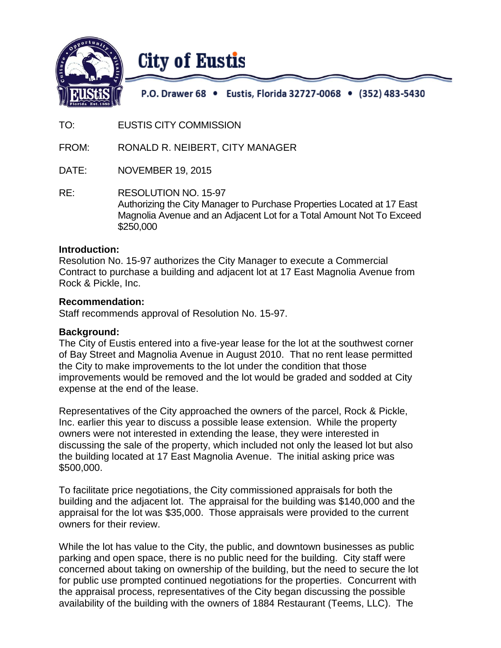

# **City of Eustis**

P.O. Drawer 68 • Eustis, Florida 32727-0068 • (352) 483-5430

TO: EUSTIS CITY COMMISSION

FROM: RONALD R. NEIBERT, CITY MANAGER

DATE: NOVEMBER 19, 2015

RE: RESOLUTION NO. 15-97 Authorizing the City Manager to Purchase Properties Located at 17 East Magnolia Avenue and an Adjacent Lot for a Total Amount Not To Exceed \$250,000

#### **Introduction:**

Resolution No. 15-97 authorizes the City Manager to execute a Commercial Contract to purchase a building and adjacent lot at 17 East Magnolia Avenue from Rock & Pickle, Inc.

#### **Recommendation:**

Staff recommends approval of Resolution No. 15-97.

#### **Background:**

The City of Eustis entered into a five-year lease for the lot at the southwest corner of Bay Street and Magnolia Avenue in August 2010. That no rent lease permitted the City to make improvements to the lot under the condition that those improvements would be removed and the lot would be graded and sodded at City expense at the end of the lease.

Representatives of the City approached the owners of the parcel, Rock & Pickle, Inc. earlier this year to discuss a possible lease extension. While the property owners were not interested in extending the lease, they were interested in discussing the sale of the property, which included not only the leased lot but also the building located at 17 East Magnolia Avenue. The initial asking price was \$500,000.

To facilitate price negotiations, the City commissioned appraisals for both the building and the adjacent lot. The appraisal for the building was \$140,000 and the appraisal for the lot was \$35,000. Those appraisals were provided to the current owners for their review.

While the lot has value to the City, the public, and downtown businesses as public parking and open space, there is no public need for the building. City staff were concerned about taking on ownership of the building, but the need to secure the lot for public use prompted continued negotiations for the properties. Concurrent with the appraisal process, representatives of the City began discussing the possible availability of the building with the owners of 1884 Restaurant (Teems, LLC). The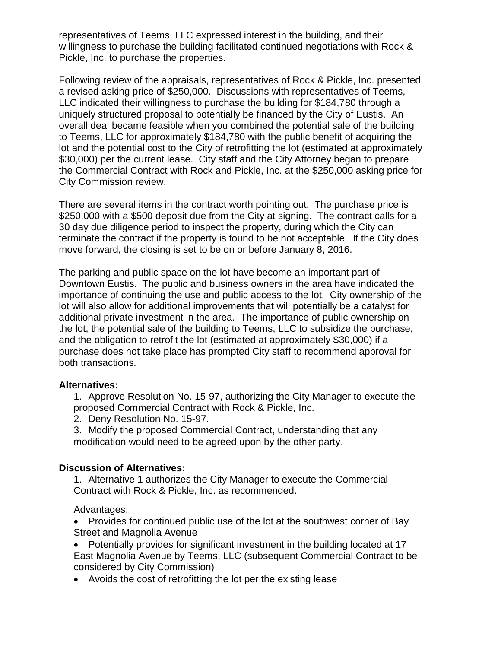representatives of Teems, LLC expressed interest in the building, and their willingness to purchase the building facilitated continued negotiations with Rock & Pickle, Inc. to purchase the properties.

Following review of the appraisals, representatives of Rock & Pickle, Inc. presented a revised asking price of \$250,000. Discussions with representatives of Teems, LLC indicated their willingness to purchase the building for \$184,780 through a uniquely structured proposal to potentially be financed by the City of Eustis. An overall deal became feasible when you combined the potential sale of the building to Teems, LLC for approximately \$184,780 with the public benefit of acquiring the lot and the potential cost to the City of retrofitting the lot (estimated at approximately \$30,000) per the current lease. City staff and the City Attorney began to prepare the Commercial Contract with Rock and Pickle, Inc. at the \$250,000 asking price for City Commission review.

There are several items in the contract worth pointing out. The purchase price is \$250,000 with a \$500 deposit due from the City at signing. The contract calls for a 30 day due diligence period to inspect the property, during which the City can terminate the contract if the property is found to be not acceptable. If the City does move forward, the closing is set to be on or before January 8, 2016.

The parking and public space on the lot have become an important part of Downtown Eustis. The public and business owners in the area have indicated the importance of continuing the use and public access to the lot. City ownership of the lot will also allow for additional improvements that will potentially be a catalyst for additional private investment in the area. The importance of public ownership on the lot, the potential sale of the building to Teems, LLC to subsidize the purchase, and the obligation to retrofit the lot (estimated at approximately \$30,000) if a purchase does not take place has prompted City staff to recommend approval for both transactions.

## **Alternatives:**

1. Approve Resolution No. 15-97, authorizing the City Manager to execute the proposed Commercial Contract with Rock & Pickle, Inc.

- 2. Deny Resolution No. 15-97.
- 3. Modify the proposed Commercial Contract, understanding that any modification would need to be agreed upon by the other party.

## **Discussion of Alternatives:**

1. Alternative 1 authorizes the City Manager to execute the Commercial Contract with Rock & Pickle, Inc. as recommended.

Advantages:

• Provides for continued public use of the lot at the southwest corner of Bay Street and Magnolia Avenue

 Potentially provides for significant investment in the building located at 17 East Magnolia Avenue by Teems, LLC (subsequent Commercial Contract to be considered by City Commission)

Avoids the cost of retrofitting the lot per the existing lease